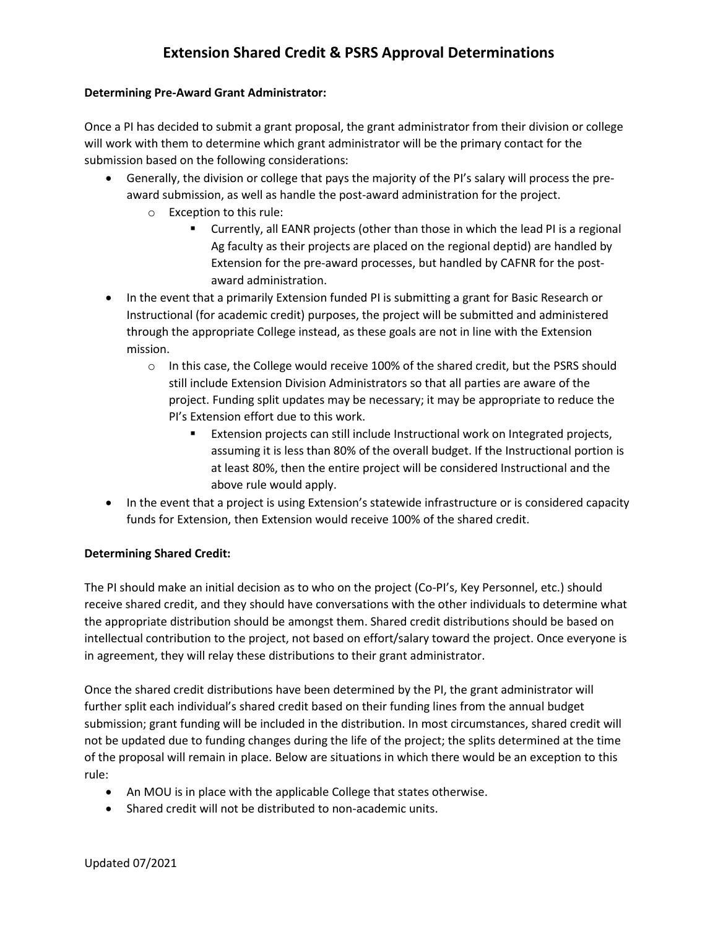# **Extension Shared Credit & PSRS Approval Determinations**

### **Determining Pre-Award Grant Administrator:**

Once a PI has decided to submit a grant proposal, the grant administrator from their division or college will work with them to determine which grant administrator will be the primary contact for the submission based on the following considerations:

- Generally, the division or college that pays the majority of the PI's salary will process the preaward submission, as well as handle the post-award administration for the project.
	- o Exception to this rule:
		- Currently, all EANR projects (other than those in which the lead PI is a regional Ag faculty as their projects are placed on the regional deptid) are handled by Extension for the pre-award processes, but handled by CAFNR for the postaward administration.
- In the event that a primarily Extension funded PI is submitting a grant for Basic Research or Instructional (for academic credit) purposes, the project will be submitted and administered through the appropriate College instead, as these goals are not in line with the Extension mission.
	- $\circ$  In this case, the College would receive 100% of the shared credit, but the PSRS should still include Extension Division Administrators so that all parties are aware of the project. Funding split updates may be necessary; it may be appropriate to reduce the PI's Extension effort due to this work.
		- Extension projects can still include Instructional work on Integrated projects, assuming it is less than 80% of the overall budget. If the Instructional portion is at least 80%, then the entire project will be considered Instructional and the above rule would apply.
- In the event that a project is using Extension's statewide infrastructure or is considered capacity funds for Extension, then Extension would receive 100% of the shared credit.

## **Determining Shared Credit:**

The PI should make an initial decision as to who on the project (Co-PI's, Key Personnel, etc.) should receive shared credit, and they should have conversations with the other individuals to determine what the appropriate distribution should be amongst them. Shared credit distributions should be based on intellectual contribution to the project, not based on effort/salary toward the project. Once everyone is in agreement, they will relay these distributions to their grant administrator.

Once the shared credit distributions have been determined by the PI, the grant administrator will further split each individual's shared credit based on their funding lines from the annual budget submission; grant funding will be included in the distribution. In most circumstances, shared credit will not be updated due to funding changes during the life of the project; the splits determined at the time of the proposal will remain in place. Below are situations in which there would be an exception to this rule:

- An MOU is in place with the applicable College that states otherwise.
- Shared credit will not be distributed to non-academic units.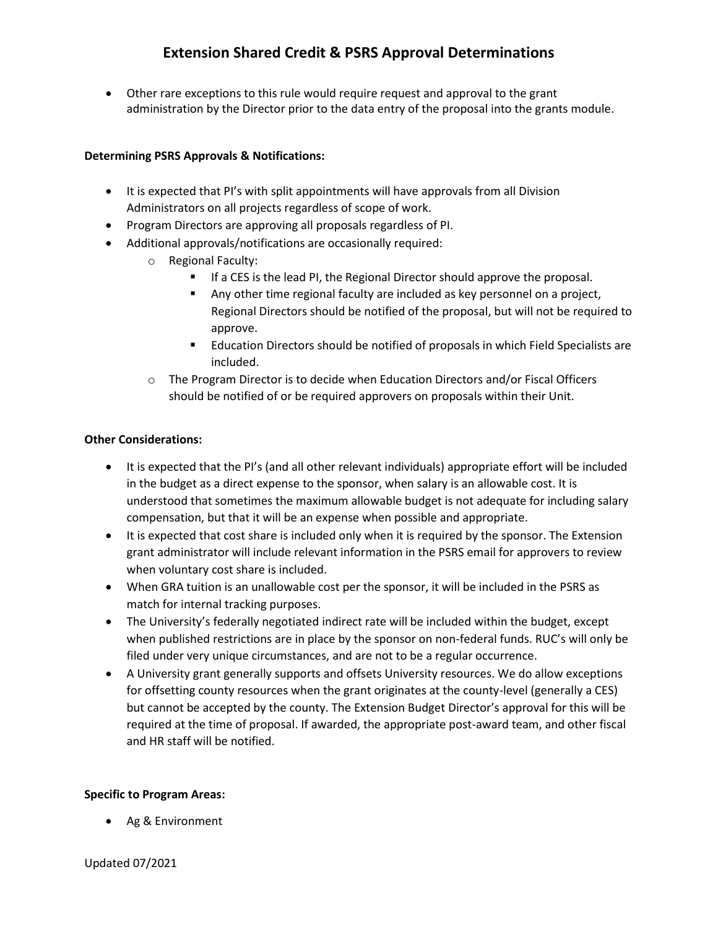Other rare exceptions to this rule would require request and approval to the grant administration by the Director prior to the data entry of the proposal into the grants module.

## **Determining PSRS Approvals & Notifications:**

- It is expected that PI's with split appointments will have approvals from all Division Administrators on all projects regardless of scope of work.
- Program Directors are approving all proposals regardless of PI.
- Additional approvals/notifications are occasionally required:
	- o Regional Faculty:
		- If a CES is the lead PI, the Regional Director should approve the proposal.
		- Any other time regional faculty are included as key personnel on a project, Regional Directors should be notified of the proposal, but will not be required to approve.
		- Education Directors should be notified of proposals in which Field Specialists are included.
	- $\circ$  The Program Director is to decide when Education Directors and/or Fiscal Officers should be notified of or be required approvers on proposals within their Unit.

### **Other Considerations:**

- It is expected that the PI's (and all other relevant individuals) appropriate effort will be included in the budget as a direct expense to the sponsor, when salary is an allowable cost. It is understood that sometimes the maximum allowable budget is not adequate for including salary compensation, but that it will be an expense when possible and appropriate.
- It is expected that cost share is included only when it is required by the sponsor. The Extension grant administrator will include relevant information in the PSRS email for approvers to review when voluntary cost share is included.
- When GRA tuition is an unallowable cost per the sponsor, it will be included in the PSRS as match for internal tracking purposes.
- The University's federally negotiated indirect rate will be included within the budget, except when published restrictions are in place by the sponsor on non-federal funds. RUC's will only be filed under very unique circumstances, and are not to be a regular occurrence.
- A University grant generally supports and offsets University resources. We do allow exceptions for offsetting county resources when the grant originates at the county-level (generally a CES) but cannot be accepted by the county. The Extension Budget Director's approval for this will be required at the time of proposal. If awarded, the appropriate post-award team, and other fiscal and HR staff will be notified.

### **Specific to Program Areas:**

Ag & Environment